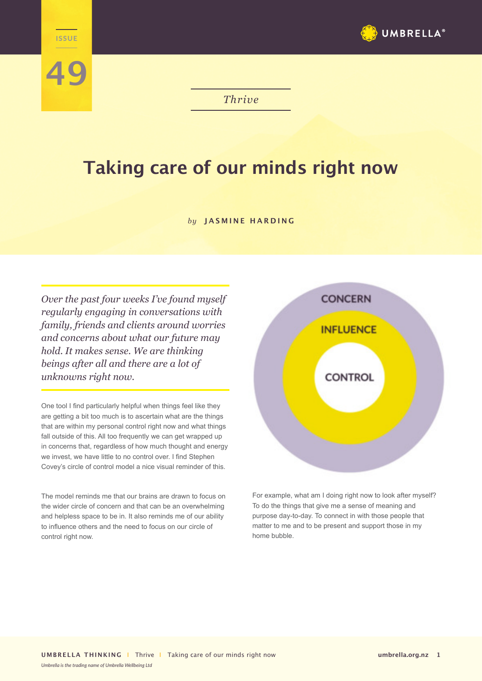

*Thrive*

## **Taking care of our minds right now**

## *by* **JASMINE HARDING**

*Over the past four weeks I've found myself regularly engaging in conversations with family, friends and clients around worries and concerns about what our future may hold. It makes sense. We are thinking beings after all and there are a lot of unknowns right now.* 

**THRIVE** 

**49**

One tool I find particularly helpful when things feel like they are getting a bit too much is to ascertain what are the things that are within my personal control right now and what things fall outside of this. All too frequently we can get wrapped up in concerns that, regardless of how much thought and energy we invest, we have little to no control over. I find Stephen Covey's circle of control model a nice visual reminder of this.

The model reminds me that our brains are drawn to focus on the wider circle of concern and that can be an overwhelming and helpless space to be in. It also reminds me of our ability to influence others and the need to focus on our circle of control right now.



For example, what am I doing right now to look after myself? To do the things that give me a sense of meaning and purpose day-to-day. To connect in with those people that matter to me and to be present and support those in my home bubble.